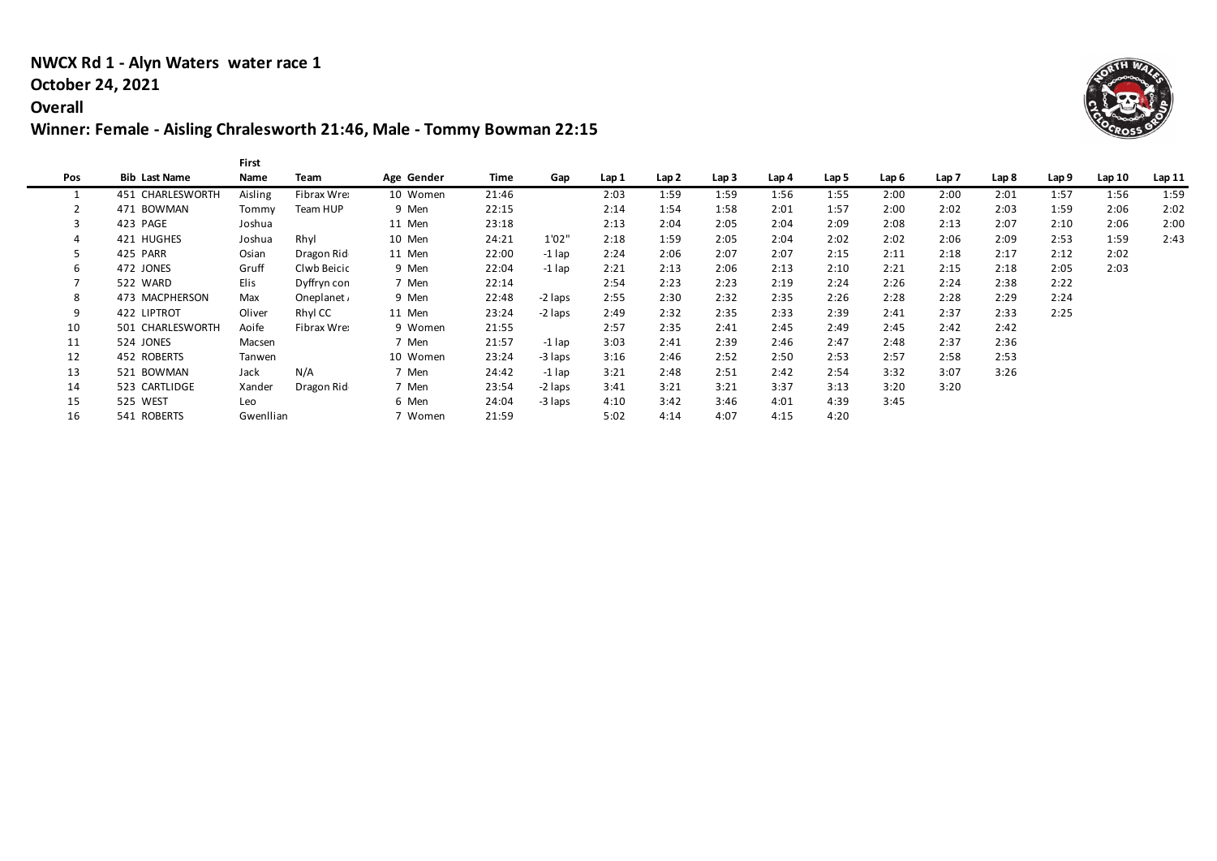### **NWCX Rd 1 - Alyn Waters water race 1**

### **October 24, 2021**

### **Overall**

## **Winner: Female - Aisling Chralesworth 21:46, Male - Tommy Bowman 22:15**

|     |                      | <b>First</b> |             |            |       |          |       |       |       |       |       |       |       |       |       |       |       |
|-----|----------------------|--------------|-------------|------------|-------|----------|-------|-------|-------|-------|-------|-------|-------|-------|-------|-------|-------|
| Pos | <b>Bib Last Name</b> | Name         | Team        | Age Gender | Time  | Gap      | Lap 1 | Lap 2 | Lap 3 | Lap 4 | Lap 5 | Lap 6 | Lap 7 | Lap 8 | Lap 9 | Lap10 | Lap11 |
|     | 451 CHARLESWORTH     | Aisling      | Fibrax Wre: | 10 Women   | 21:46 |          | 2:03  | 1:59  | 1:59  | 1:56  | 1:55  | 2:00  | 2:00  | 2:01  | 1:57  | 1:56  | 1:59  |
|     | 471 BOWMAN           | Tommy        | Team HUP    | 9 Men      | 22:15 |          | 2:14  | 1:54  | 1:58  | 2:01  | 1:57  | 2:00  | 2:02  | 2:03  | 1:59  | 2:06  | 2:02  |
|     | 423 PAGE             | Joshua       |             | 11 Men     | 23:18 |          | 2:13  | 2:04  | 2:05  | 2:04  | 2:09  | 2:08  | 2:13  | 2:07  | 2:10  | 2:06  | 2:00  |
|     | 421 HUGHES           | Joshua       | Rhyl        | 10 Men     | 24:21 | 1'02"    | 2:18  | 1:59  | 2:05  | 2:04  | 2:02  | 2:02  | 2:06  | 2:09  | 2:53  | 1:59  | 2:43  |
|     | 425 PARR             | Osian        | Dragon Rid  | 11 Men     | 22:00 | $-1$ lap | 2:24  | 2:06  | 2:07  | 2:07  | 2:15  | 2:11  | 2:18  | 2:17  | 2:12  | 2:02  |       |
| 6   | 472 JONES            | Gruff        | Clwb Beicic | 9 Men      | 22:04 | $-1$ lap | 2:21  | 2:13  | 2:06  | 2:13  | 2:10  | 2:21  | 2:15  | 2:18  | 2:05  | 2:03  |       |
|     | 522 WARD             | Elis         | Dyffryn con | 7 Men      | 22:14 |          | 2:54  | 2:23  | 2:23  | 2:19  | 2:24  | 2:26  | 2:24  | 2:38  | 2:22  |       |       |
| 8   | 473 MACPHERSON       | Max          | Oneplanet.  | 9 Men      | 22:48 | -2 laps  | 2:55  | 2:30  | 2:32  | 2:35  | 2:26  | 2:28  | 2:28  | 2:29  | 2:24  |       |       |
| 9   | 422 LIPTROT          | Oliver       | Rhyl CC     | 11 Men     | 23:24 | -2 laps  | 2:49  | 2:32  | 2:35  | 2:33  | 2:39  | 2:41  | 2:37  | 2:33  | 2:25  |       |       |
| 10  | 501 CHARLESWORTH     | Aoife        | Fibrax Wre: | 9 Women    | 21:55 |          | 2:57  | 2:35  | 2:41  | 2:45  | 2:49  | 2:45  | 2:42  | 2:42  |       |       |       |
| 11  | 524 JONES            | Macsen       |             | 7 Men      | 21:57 | -1 lap   | 3:03  | 2:41  | 2:39  | 2:46  | 2:47  | 2:48  | 2:37  | 2:36  |       |       |       |
| 12  | 452 ROBERTS          | Tanwen       |             | 10 Women   | 23:24 | -3 laps  | 3:16  | 2:46  | 2:52  | 2:50  | 2:53  | 2:57  | 2:58  | 2:53  |       |       |       |
| 13  | 521 BOWMAN           | Jack         | N/A         | 7 Men      | 24:42 | $-1$ lap | 3:21  | 2:48  | 2:51  | 2:42  | 2:54  | 3:32  | 3:07  | 3:26  |       |       |       |
| 14  | 523 CARTLIDGE        | Xander       | Dragon Rid  | 7 Men      | 23:54 | -2 laps  | 3:41  | 3:21  | 3:21  | 3:37  | 3:13  | 3:20  | 3:20  |       |       |       |       |
| 15  | 525 WEST             | Leo          |             | 6 Men      | 24:04 | -3 laps  | 4:10  | 3:42  | 3:46  | 4:01  | 4:39  | 3:45  |       |       |       |       |       |
| 16  | 541 ROBERTS          | Gwenllian    |             | 7 Women    | 21:59 |          | 5:02  | 4:14  | 4:07  | 4:15  | 4:20  |       |       |       |       |       |       |

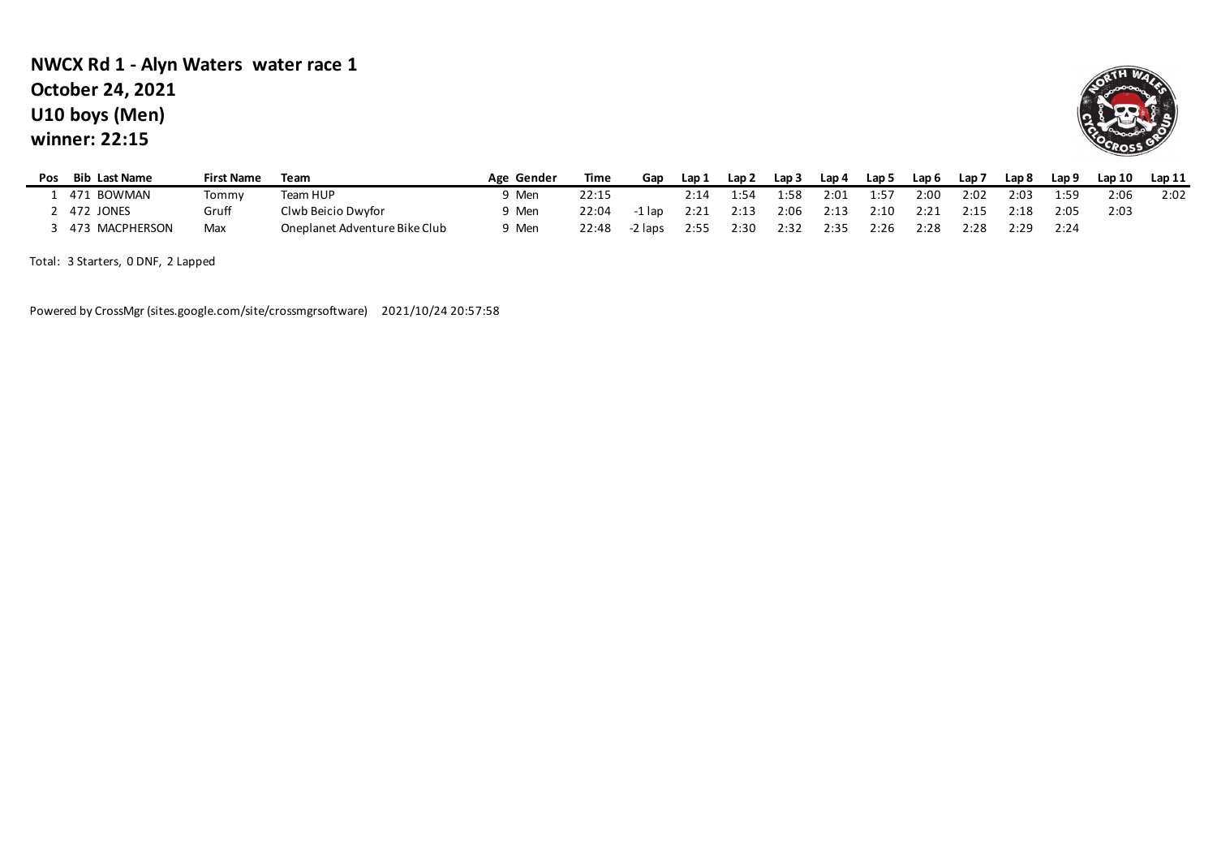## **U10 boys (Men) winner: 22:15 NWCX Rd 1 - Alyn Waters water race 1 October 24, 2021**



| Pos | <b>Bib Last Name</b> | <b>First Name</b> | Team                          | Age Gender | Time  | Gap     | Lap 1 | Lap 2 | Lap 3 | Lap 4 | Lap 5 | Lap 6 | Lap 7 | Lap 8 | Lap 9 | Lap 10 | Lap 11 |
|-----|----------------------|-------------------|-------------------------------|------------|-------|---------|-------|-------|-------|-------|-------|-------|-------|-------|-------|--------|--------|
|     | 471 BOWMAN           | Tommv             | Team HUP                      | Men        | 22:15 |         | 2:14  | 1:54  | 1:58  | 2:01  | 1:57  | 2:00  | 2:02  | 2:03  | 1:59  | 2:06   | 2:02   |
|     | . 472 JONES          | Gruff             | Clwb Beicio Dwyfor            | Э Men      | 22:04 | -1 lap  | 2:21  | 2:13  | 2:06  | 2:13  | 2:10  | 2:21  | 2:15  | 2:18  | 2:05  | 2:03   |        |
|     | 473 MACPHERSON       | Max               | Oneplanet Adventure Bike Club | 9 Men      | 22:48 | -2 laps | 2:55  | 2:30  | 2:32  | 2:35  | 2:26  | 2:28  | 2:28  | 2:29  | 2:24  |        |        |

Total: 3 Starters, 0 DNF, 2 Lapped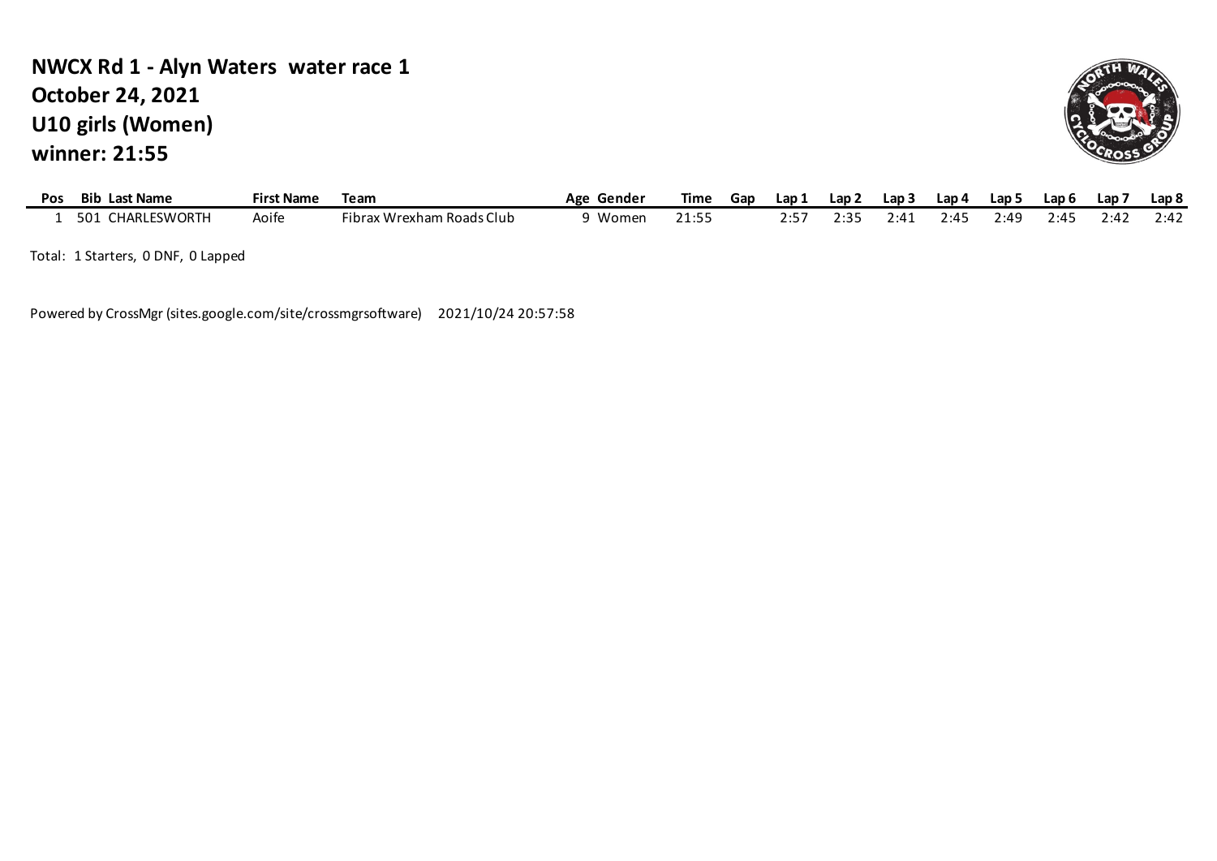## **U10 girls (Women) winner: 21:55 NWCX Rd 1 - Alyn Waters water race 1 October 24, 2021**



| Pos | <b>Bib</b><br><b>Last Name</b> | $- \cdot$<br><b>First Name</b> | Team                      | Gender<br>Age | <b>Time</b>        | Gar | Lap : | Lap 2 | Lap | Lap 4 | Lap 5 | Lap 6 | Lap 7 | Lap <sub>8</sub> |
|-----|--------------------------------|--------------------------------|---------------------------|---------------|--------------------|-----|-------|-------|-----|-------|-------|-------|-------|------------------|
|     | CHARLESWORTH<br>501            | <b>\oife</b>                   | Fibrax Wrexham Roads Club | Womer.        | 21.55<br>- - - - - |     | - -   | 0.21  | 14′ | 7.11  | 2:40  | 2:4!  | 2:42  | 2:42             |

Total: 1 Starters, 0 DNF, 0 Lapped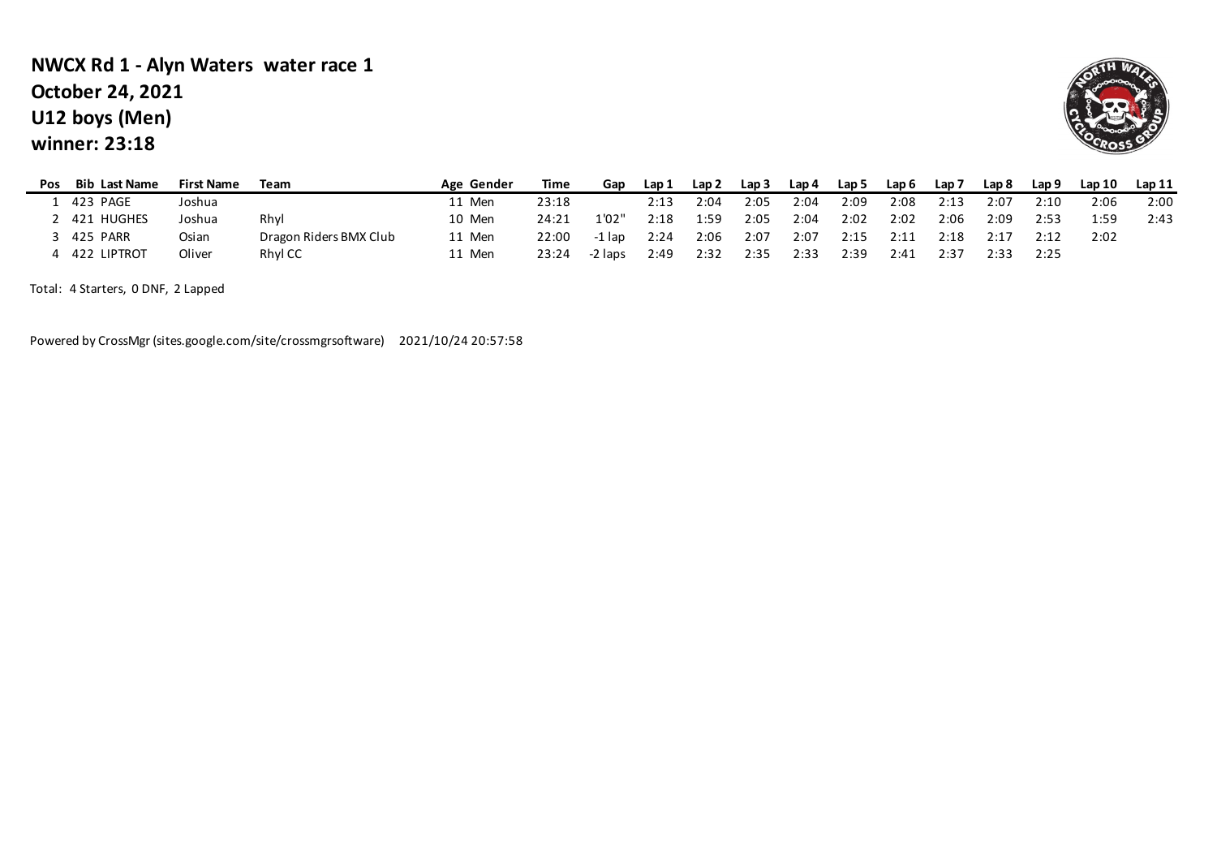## **U12 boys (Men) winner: 23:18 NWCX Rd 1 - Alyn Waters water race 1 October 24, 2021**



| Pos | <b>Bib Last Name</b> | <b>First Name</b> | Team                   | Age Gender | Time  | Gap     | Lap 1 | Lap 2 | Lap <sub>3</sub> | Lap 4 | Lap 5 | Lap 6 | Lap 7 | Lap 8 | Lap 9 | Lap10 | Lap11 |
|-----|----------------------|-------------------|------------------------|------------|-------|---------|-------|-------|------------------|-------|-------|-------|-------|-------|-------|-------|-------|
|     | 423 PAGE             | Joshua            |                        | 11 Men     | 23:18 |         | 2:13  | 2:04  | 2:05             | 2:04  | 2:09  | 2:08  | 2:13  | 2:07  | 2:10  | 2:06  | 2:00  |
|     | ! 421 HUGHES         | Joshua            | Rhyl                   | 10 Men     | 24:21 | 1'02"   | 2:18  | 1:59  | 2:05             | 2:04  | 2:02  | 2:02  | 2:06  | 2:09  | 2:53  | 1:59  | 2:43  |
|     | 425 PARR             | Osian             | Dragon Riders BMX Club | 11 Men     | 22:00 | -1 lap  | 2:24  | 2:06  | 2:07             | 2:07  | 2:15  | 2:11  | 2:18  | 2:17  | 2:12  | 2:02  |       |
|     | 422 LIPTROT          | Oliver            | <b>Rhyl CC</b>         | 11 Men     | 23:24 | -2 laps | 2:49  | 2:32  | 2:35             | 2:33  | 2:39  | 2:41  | 2:37  | 2:33  | 2:25  |       |       |

Total: 4 Starters, 0 DNF, 2 Lapped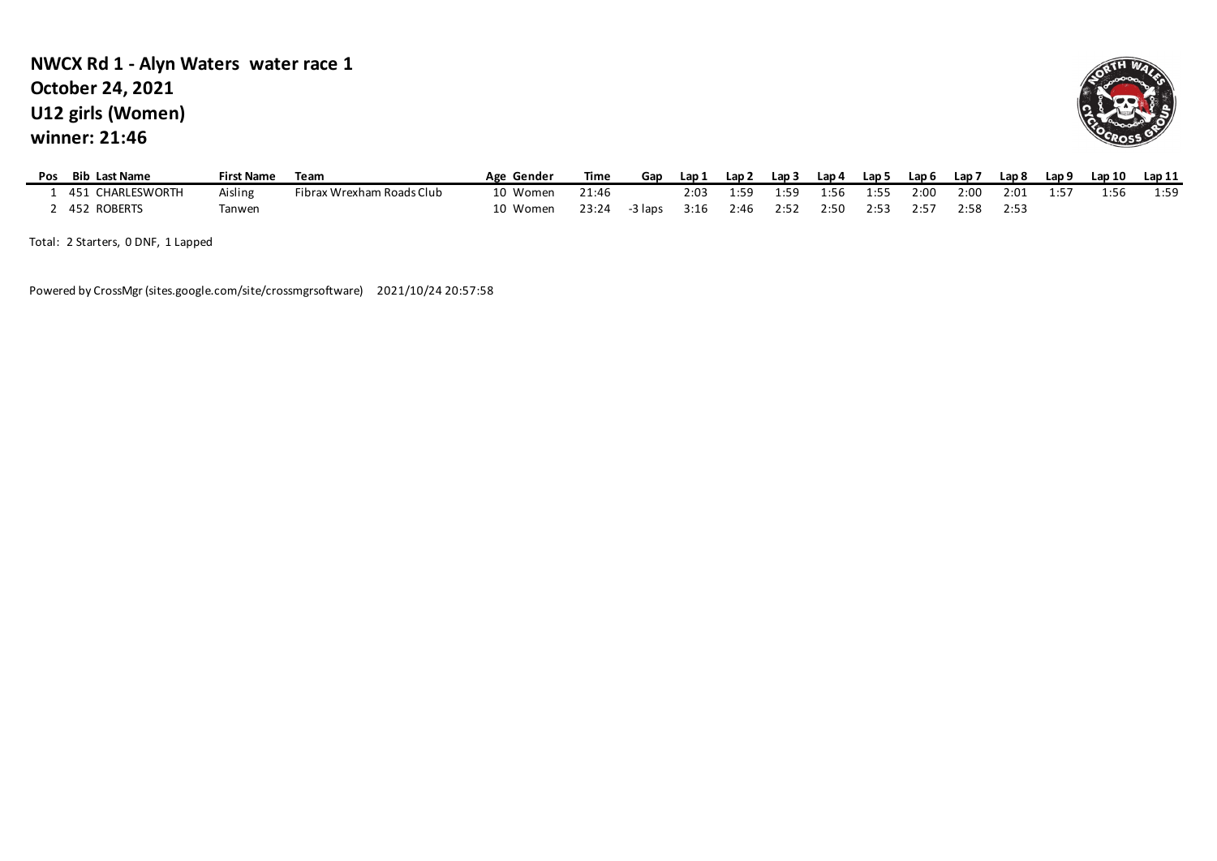### **U12 girls (Women) winner: 21:46 NWCX Rd 1 - Alyn Waters water race 1 October 24, 2021**



| Pos | <b>Bib Last Name</b>  | First Name    | Team                      | Gender<br>Age | Time  | Gap    | Lap 1 | Lap 2 | Lap 3 | Lap 4 | Lap 5 | Lap <sub>6</sub> | Lap 7 | Lap 8 | Lap <sub>9</sub> | Lap 10 | Lap11 |
|-----|-----------------------|---------------|---------------------------|---------------|-------|--------|-------|-------|-------|-------|-------|------------------|-------|-------|------------------|--------|-------|
|     | CHARLESWORTH<br>451   | Aisling       | Fibrax Wrexham Roads Club | 10 Women      | 21:46 |        | 2:03  | 1.59  | 1:59  | l:56  | 1:55  | 2:00             | 2:00  | 2:01  | 1.57             | l:56   | 1:59  |
|     | <b>ROBERTS</b><br>452 | <b>Tanwen</b> |                           | 10 Women      | 23:24 | 3 laps | 3:16  | 2:46  | 7.57  | 2:50  | 2:53  | 2:57             | 2:58  | 2:53  |                  |        |       |

Total: 2 Starters, 0 DNF, 1 Lapped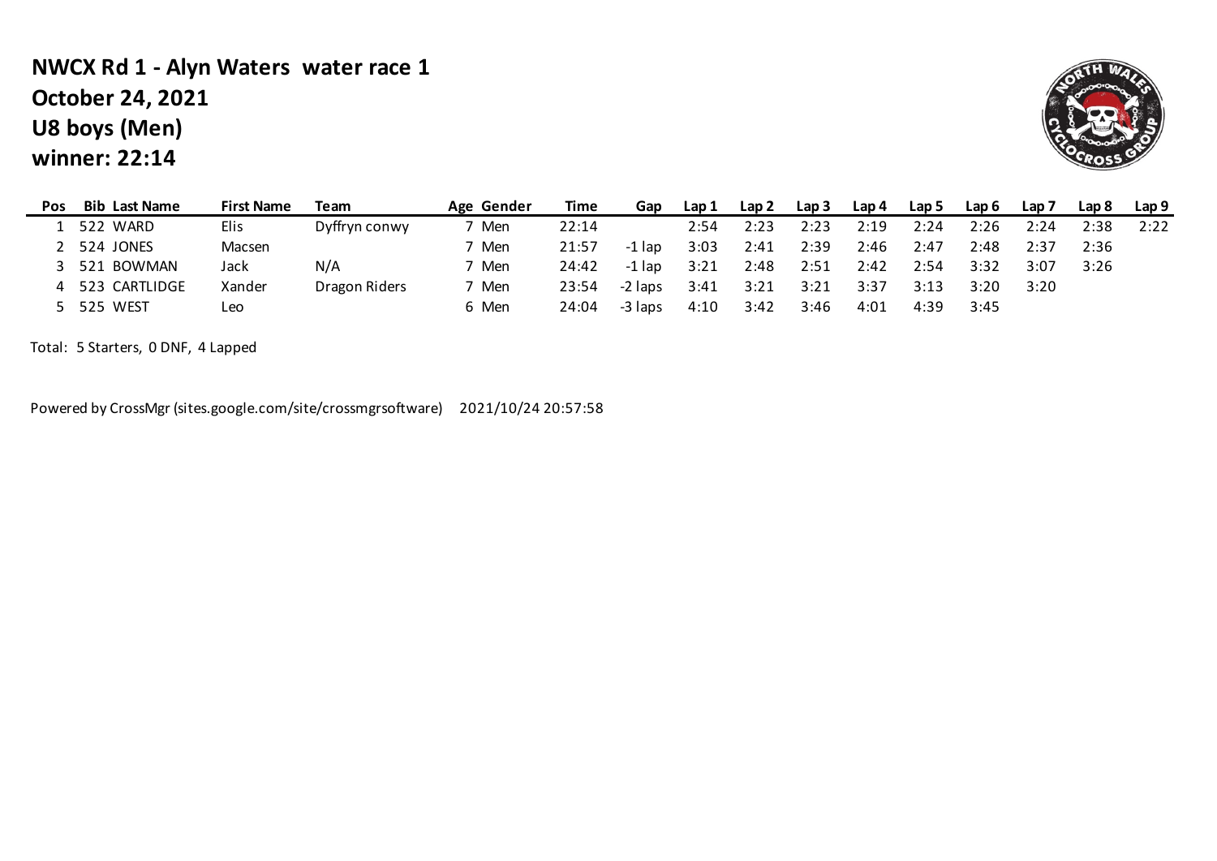# **U8 boys (Men) winner: 22:14 NWCX Rd 1 - Alyn Waters water race 1 October 24, 2021**



| Pos | <b>Bib Last Name</b> | <b>First Name</b> | Team          | Age Gender | Time  | Gap     | Lap 1 | Lap 2 | Lap <sub>3</sub> | Lap 4 | Lap 5 | Lap 6 | Lap 7 | Lap 8 | Lap 9 |
|-----|----------------------|-------------------|---------------|------------|-------|---------|-------|-------|------------------|-------|-------|-------|-------|-------|-------|
|     | 522 WARD             | Elis              | Dyffryn conwy | ' Men      | 22:14 |         | 2:54  | 2:23  | 2:23             | 2:19  | 2:24  | 2:26  | 2:24  | 2:38  | 2:22  |
|     | 524 JONES            | Macsen            |               | ' Men      | 21:57 | -1 lap  | 3:03  | 2:41  | 2:39             | 2:46  | 2:47  | 2:48  | 2:37  | 2:36  |       |
|     | 521 BOWMAN           | Jack              | N/A           | 7 Men      | 24:42 | -1 lap  | 3:21  | 2:48  | 2:51             | 2:42  | 2:54  | 3:32  | 3:07  | 3:26  |       |
|     | 523 CARTLIDGE        | Xander            | Dragon Riders | 7 Men      | 23:54 | -2 laps | 3:41  | 3:21  | 3:21             | 3:37  | 3:13  | 3:20  | 3:20  |       |       |
|     | 525 WEST             | Leo               |               | 6 Men      | 24:04 | -3 laps | 4:10  | 3:42  | 3:46             | 4:01  | 4:39  | 3:45  |       |       |       |

Total: 5 Starters, 0 DNF, 4 Lapped